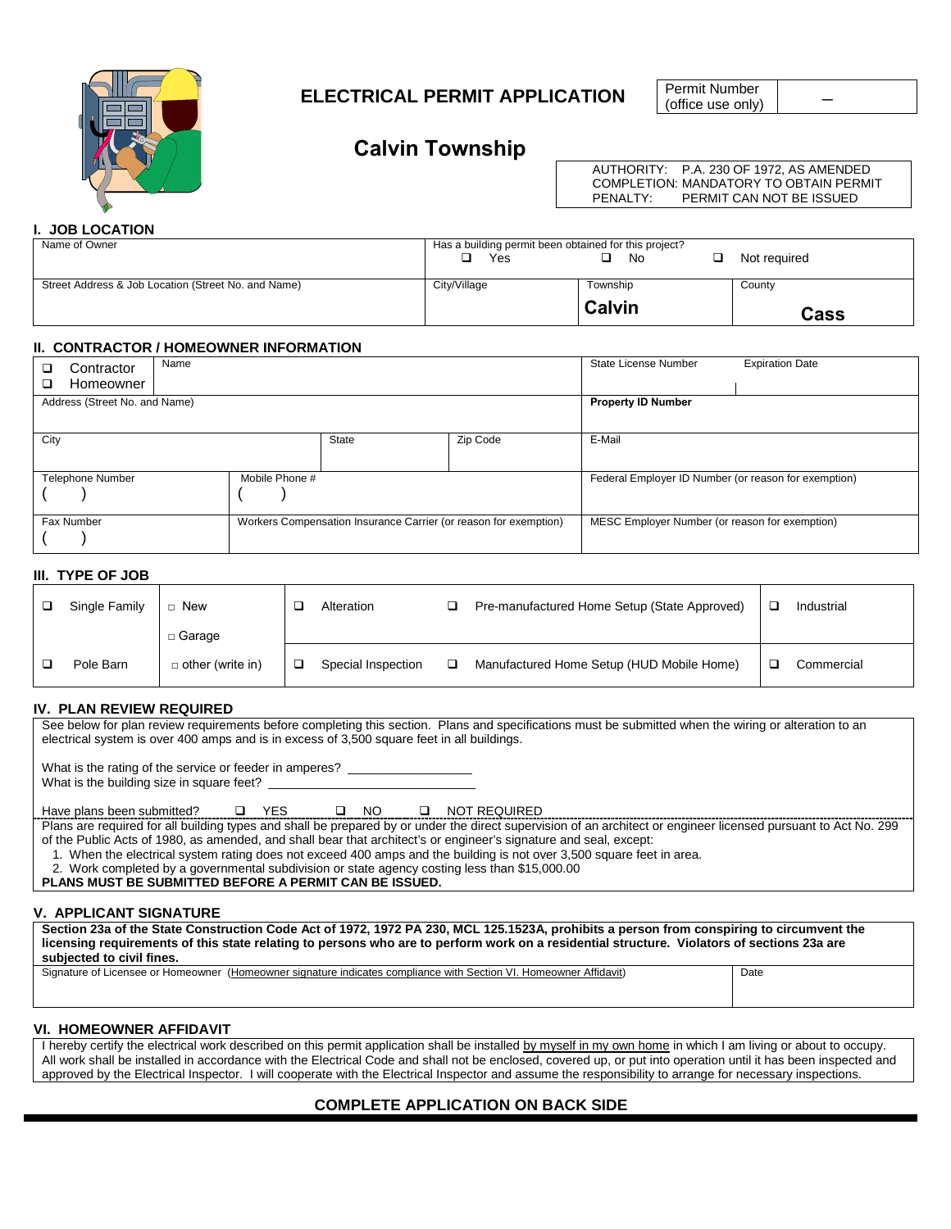

# **ELECTRICAL PERMIT APPLICATION**

Permit Number<br>(office use only)

# **Calvin Township**

AUTHORITY: P.A. 230 OF 1972, AS AMENDED COMPLETION: MANDATORY TO OBTAIN PERMIT<br>PENALTY: PERMIT CAN NOT BE ISSUED PERMIT CAN NOT BE ISSUED

# **I. JOB LOCATION**

| Name of Owner                                       | Has a building permit been obtained for this project?<br>Yes | Not reauired |        |
|-----------------------------------------------------|--------------------------------------------------------------|--------------|--------|
| Street Address & Job Location (Street No. and Name) | City/Village                                                 | Township     | County |
|                                                     | <b>Calvin</b>                                                |              | Cass   |

#### **II. CONTRACTOR / HOMEOWNER INFORMATION**

| Name<br>Contractor<br>Homeowner<br>□ |                |                                                                  |        | State License Number                                 | <b>Expiration Date</b> |  |
|--------------------------------------|----------------|------------------------------------------------------------------|--------|------------------------------------------------------|------------------------|--|
| Address (Street No. and Name)        |                | <b>Property ID Number</b>                                        |        |                                                      |                        |  |
| City                                 |                | <b>State</b>                                                     | E-Mail |                                                      |                        |  |
| <b>Telephone Number</b>              | Mobile Phone # |                                                                  |        | Federal Employer ID Number (or reason for exemption) |                        |  |
| Fax Number                           |                | Workers Compensation Insurance Carrier (or reason for exemption) |        | MESC Employer Number (or reason for exemption)       |                        |  |

## **III. TYPE OF JOB**

| Single Family | New                     | Alteration         | ⊐ | Pre-manufactured Home Setup (State Approved) | Industrial |
|---------------|-------------------------|--------------------|---|----------------------------------------------|------------|
|               | $\Box$ Garage           |                    |   |                                              |            |
| Pole Barn     | $\Box$ other (write in) | Special Inspection |   | Manufactured Home Setup (HUD Mobile Home)    | Commercial |

# **IV. PLAN REVIEW REQUIRED**

See below for plan review requirements before completing this section. Plans and specifications must be submitted when the wiring or alteration to an electrical system is over 400 amps and is in excess of 3,500 square feet in all buildings.

What is the rating of the service or feeder in amperes? \_

What is the building size in square feet?

Have plans been submitted?  $\Box$  YES  $\Box$  NO  $\Box$  NOT REQUIRED

Plans are required for all building types and shall be prepared by or under the direct supervision of an architect or engineer licensed pursuant to Act No. 299 of the Public Acts of 1980, as amended, and shall bear that architect's or engineer's signature and seal, except:

1. When the electrical system rating does not exceed 400 amps and the building is not over 3,500 square feet in area.

2. Work completed by a governmental subdivision or state agency costing less than \$15,000.00

**PLANS MUST BE SUBMITTED BEFORE A PERMIT CAN BE ISSUED.**

# **V. APPLICANT SIGNATURE**

**Section 23a of the State Construction Code Act of 1972, 1972 PA 230, MCL 125.1523A, prohibits a person from conspiring to circumvent the licensing requirements of this state relating to persons who are to perform work on a residential structure. Violators of sections 23a are subjected to civil fines.**

Signature of Licensee or Homeowner (Homeowner signature indicates compliance with Section VI. Homeowner Affidavit) Date

#### **VI. HOMEOWNER AFFIDAVIT**

I hereby certify the electrical work described on this permit application shall be installed by myself in my own home in which I am living or about to occupy. All work shall be installed in accordance with the Electrical Code and shall not be enclosed, covered up, or put into operation until it has been inspected and approved by the Electrical Inspector. I will cooperate with the Electrical Inspector and assume the responsibility to arrange for necessary inspections.

# **COMPLETE APPLICATION ON BACK SIDE**